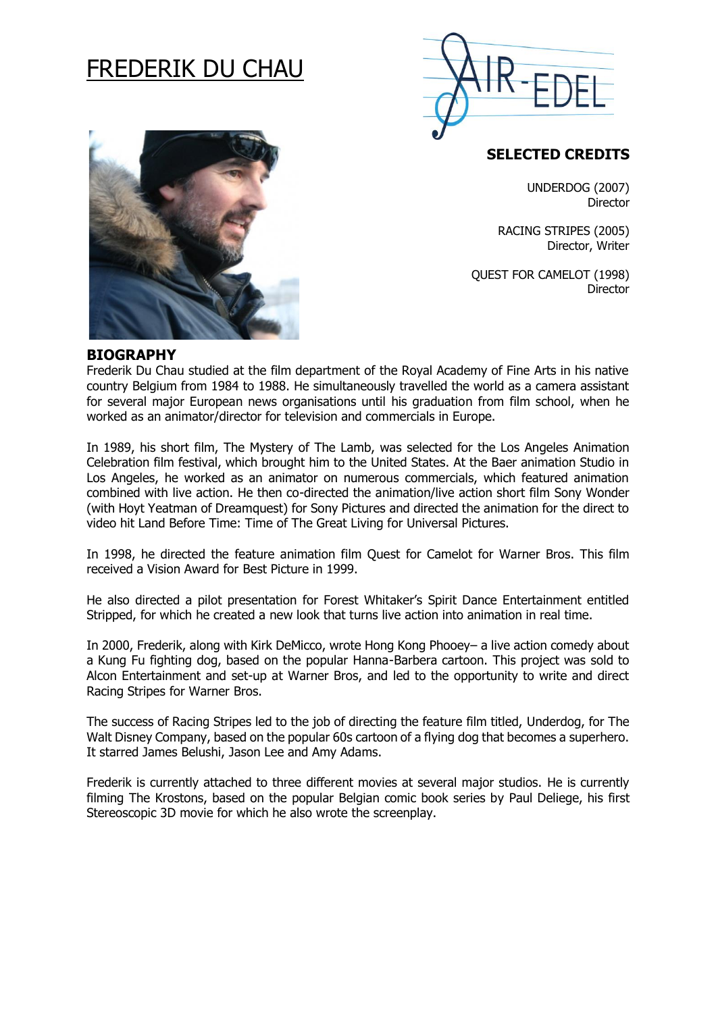# FREDERIK DU CHAU



## **SELECTED CREDITS**

UNDERDOG (2007) **Director** 

RACING STRIPES (2005) Director, Writer

QUEST FOR CAMELOT (1998) Director



#### **BIOGRAPHY**

Frederik Du Chau studied at the film department of the Royal Academy of Fine Arts in his native country Belgium from 1984 to 1988. He simultaneously travelled the world as a camera assistant for several major European news organisations until his graduation from film school, when he worked as an animator/director for television and commercials in Europe.

In 1989, his short film, The Mystery of The Lamb, was selected for the Los Angeles Animation Celebration film festival, which brought him to the United States. At the Baer animation Studio in Los Angeles, he worked as an animator on numerous commercials, which featured animation combined with live action. He then co-directed the animation/live action short film Sony Wonder (with Hoyt Yeatman of Dreamquest) for Sony Pictures and directed the animation for the direct to video hit Land Before Time: Time of The Great Living for Universal Pictures.

In 1998, he directed the feature animation film Quest for Camelot for Warner Bros. This film received a Vision Award for Best Picture in 1999.

He also directed a pilot presentation for Forest Whitaker's Spirit Dance Entertainment entitled Stripped, for which he created a new look that turns live action into animation in real time.

In 2000, Frederik, along with Kirk DeMicco, wrote Hong Kong Phooey– a live action comedy about a Kung Fu fighting dog, based on the popular Hanna-Barbera cartoon. This project was sold to Alcon Entertainment and set-up at Warner Bros, and led to the opportunity to write and direct Racing Stripes for Warner Bros.

The success of Racing Stripes led to the job of directing the feature film titled, Underdog, for The Walt Disney Company, based on the popular 60s cartoon of a flying dog that becomes a superhero. It starred James Belushi, Jason Lee and Amy Adams.

Frederik is currently attached to three different movies at several major studios. He is currently filming The Krostons, based on the popular Belgian comic book series by Paul Deliege, his first Stereoscopic 3D movie for which he also wrote the screenplay.